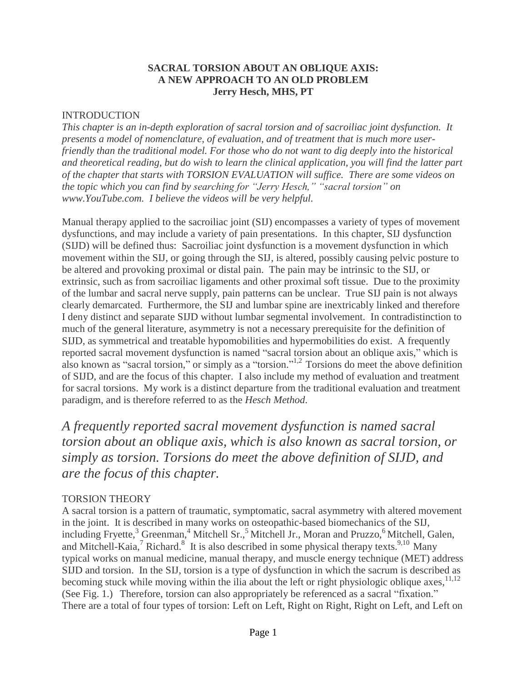#### **SACRAL TORSION ABOUT AN OBLIQUE AXIS: A NEW APPROACH TO AN OLD PROBLEM Jerry Hesch, MHS, PT**

#### INTRODUCTION

*This chapter is an in-depth exploration of sacral torsion and of sacroiliac joint dysfunction. It presents a model of nomenclature, of evaluation, and of treatment that is much more userfriendly than the traditional model. For those who do not want to dig deeply into the historical and theoretical reading, but do wish to learn the clinical application, you will find the latter part of the chapter that starts with TORSION EVALUATION will suffice. There are some videos on the topic which you can find by searching for "Jerry Hesch," "sacral torsion" on www.YouTube.com. I believe the videos will be very helpful.* 

Manual therapy applied to the sacroiliac joint (SIJ) encompasses a variety of types of movement dysfunctions, and may include a variety of pain presentations. In this chapter, SIJ dysfunction (SIJD) will be defined thus: Sacroiliac joint dysfunction is a movement dysfunction in which movement within the SIJ, or going through the SIJ, is altered, possibly causing pelvic posture to be altered and provoking proximal or distal pain. The pain may be intrinsic to the SIJ, or extrinsic, such as from sacroiliac ligaments and other proximal soft tissue. Due to the proximity of the lumbar and sacral nerve supply, pain patterns can be unclear. True SIJ pain is not always clearly demarcated. Furthermore, the SIJ and lumbar spine are inextricably linked and therefore I deny distinct and separate SIJD without lumbar segmental involvement. In contradistinction to much of the general literature, asymmetry is not a necessary prerequisite for the definition of SIJD, as symmetrical and treatable hypomobilities and hypermobilities do exist. A frequently reported sacral movement dysfunction is named "sacral torsion about an oblique axis," which is also known as "sacral torsion," or simply as a "torsion." 1,2 Torsions do meet the above definition of SIJD, and are the focus of this chapter. I also include my method of evaluation and treatment for sacral torsions. My work is a distinct departure from the traditional evaluation and treatment paradigm, and is therefore referred to as the *Hesch Method*.

*A frequently reported sacral movement dysfunction is named sacral torsion about an oblique axis, which is also known as sacral torsion, or simply as torsion. Torsions do meet the above definition of SIJD, and are the focus of this chapter.*

### TORSION THEORY

A sacral torsion is a pattern of traumatic, symptomatic, sacral asymmetry with altered movement in the joint. It is described in many works on osteopathic-based biomechanics of the SIJ, including Fryette,<sup>3</sup> Greenman,<sup>4</sup> Mitchell Sr.,<sup>5</sup> Mitchell Jr., Moran and Pruzzo,<sup>6</sup> Mitchell, Galen, and Mitchell-Kaia,<sup>7</sup> Richard.<sup>8</sup> It is also described in some physical therapy texts.<sup>9,10</sup> Many typical works on manual medicine, manual therapy, and muscle energy technique (MET) address SIJD and torsion. In the SIJ, torsion is a type of dysfunction in which the sacrum is described as becoming stuck while moving within the ilia about the left or right physiologic oblique axes,  $11,12$ (See Fig. 1.) Therefore, torsion can also appropriately be referenced as a sacral "fixation." There are a total of four types of torsion: Left on Left, Right on Right, Right on Left, and Left on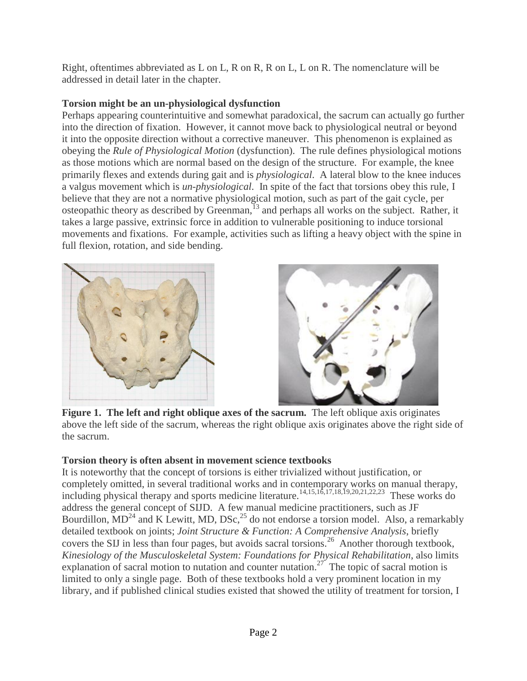Right, oftentimes abbreviated as L on L, R on R, R on L, L on R. The nomenclature will be addressed in detail later in the chapter.

# **Torsion might be an un-physiological dysfunction**

Perhaps appearing counterintuitive and somewhat paradoxical, the sacrum can actually go further into the direction of fixation. However, it cannot move back to physiological neutral or beyond it into the opposite direction without a corrective maneuver. This phenomenon is explained as obeying the *Rule of Physiological Motion* (dysfunction). The rule defines physiological motions as those motions which are normal based on the design of the structure. For example, the knee primarily flexes and extends during gait and is *physiological*. A lateral blow to the knee induces a valgus movement which is *un-physiological*. In spite of the fact that torsions obey this rule, I believe that they are not a normative physiological motion, such as part of the gait cycle, per osteopathic theory as described by Greenman,<sup>13</sup> and perhaps all works on the subject. Rather, it takes a large passive, extrinsic force in addition to vulnerable positioning to induce torsional movements and fixations. For example, activities such as lifting a heavy object with the spine in full flexion, rotation, and side bending.





**Figure 1. The left and right oblique axes of the sacrum.** The left oblique axis originates above the left side of the sacrum, whereas the right oblique axis originates above the right side of the sacrum.

## **Torsion theory is often absent in movement science textbooks**

It is noteworthy that the concept of torsions is either trivialized without justification, or completely omitted, in several traditional works and in contemporary works on manual therapy, including physical therapy and sports medicine literature.<sup>14,15,16,17,18,19,20,21,22,23</sup> These works do address the general concept of SIJD. A few manual medicine practitioners, such as JF Bourdillon,  $MD^{24}$  and K Lewitt, MD, DSc,  $25$  do not endorse a torsion model. Also, a remarkably detailed textbook on joints; *Joint Structure & Function: A Comprehensive Analysis*, briefly covers the SIJ in less than four pages, but avoids sacral torsions.<sup>26</sup> Another thorough textbook, *Kinesiology of the Musculoskeletal System: Foundations for Physical Rehabilitation*, also limits explanation of sacral motion to nutation and counter nutation.<sup>27</sup> The topic of sacral motion is limited to only a single page. Both of these textbooks hold a very prominent location in my library, and if published clinical studies existed that showed the utility of treatment for torsion, I